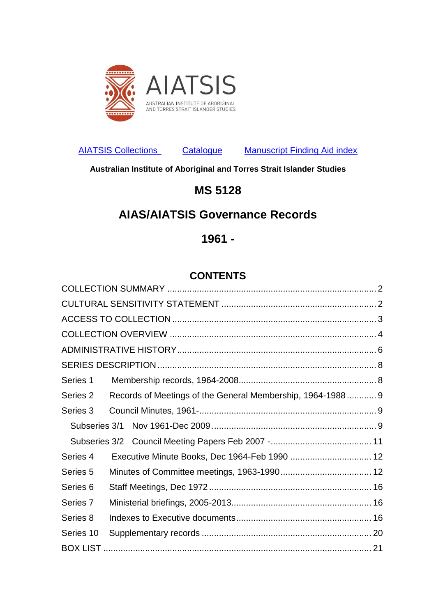

[AIATSIS Collections](http://aiatsis.gov.au/collections) [Catalogue](http://www.aiatsis.gov.au/collections/using-collection/search-collection) [Manuscript Finding Aid index](http://www.aiatsis.gov.au/research/guides-and-resources/collection-finding-aids)

**Australian Institute of Aboriginal and Torres Strait Islander Studies** 

# **MS 5128**

# **AIAS/AIATSIS Governance Records**

## **1961 -**

## **CONTENTS**

<span id="page-0-0"></span>

| Series 1            |                                                            |  |
|---------------------|------------------------------------------------------------|--|
| Series 2            | Records of Meetings of the General Membership, 1964-1988 9 |  |
| Series 3            |                                                            |  |
|                     |                                                            |  |
|                     |                                                            |  |
| Series 4            | Executive Minute Books, Dec 1964-Feb 1990  12              |  |
| Series <sub>5</sub> |                                                            |  |
| Series <sub>6</sub> |                                                            |  |
| Series 7            |                                                            |  |
| Series 8            |                                                            |  |
| Series 10           |                                                            |  |
|                     |                                                            |  |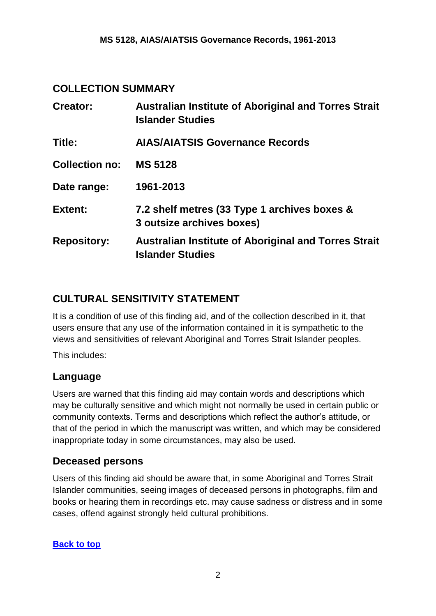### <span id="page-1-0"></span>**COLLECTION SUMMARY**

| Creator:              | <b>Australian Institute of Aboriginal and Torres Strait</b><br><b>Islander Studies</b> |
|-----------------------|----------------------------------------------------------------------------------------|
| Title:                | <b>AIAS/AIATSIS Governance Records</b>                                                 |
| <b>Collection no:</b> | <b>MS 5128</b>                                                                         |
| Date range:           | 1961-2013                                                                              |
| <b>Extent:</b>        | 7.2 shelf metres (33 Type 1 archives boxes &<br>3 outsize archives boxes)              |
| <b>Repository:</b>    | <b>Australian Institute of Aboriginal and Torres Strait</b><br><b>Islander Studies</b> |

## <span id="page-1-1"></span>**CULTURAL SENSITIVITY STATEMENT**

It is a condition of use of this finding aid, and of the collection described in it, that users ensure that any use of the information contained in it is sympathetic to the views and sensitivities of relevant Aboriginal and Torres Strait Islander peoples.

This includes:

### **Language**

Users are warned that this finding aid may contain words and descriptions which may be culturally sensitive and which might not normally be used in certain public or community contexts. Terms and descriptions which reflect the author's attitude, or that of the period in which the manuscript was written, and which may be considered inappropriate today in some circumstances, may also be used.

### **Deceased persons**

Users of this finding aid should be aware that, in some Aboriginal and Torres Strait Islander communities, seeing images of deceased persons in photographs, film and books or hearing them in recordings etc. may cause sadness or distress and in some cases, offend against strongly held cultural prohibitions.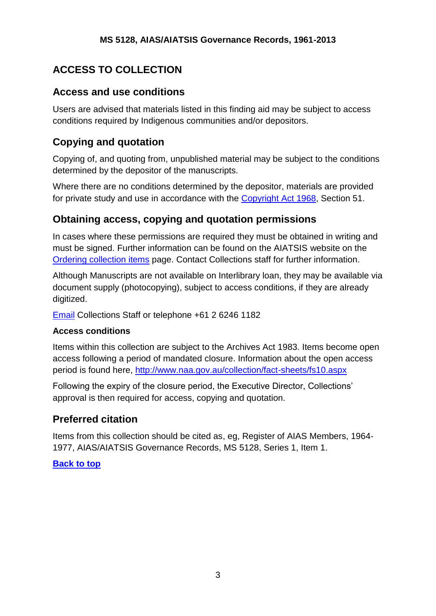# <span id="page-2-0"></span>**ACCESS TO COLLECTION**

### **Access and use conditions**

Users are advised that materials listed in this finding aid may be subject to access conditions required by Indigenous communities and/or depositors.

## **Copying and quotation**

Copying of, and quoting from, unpublished material may be subject to the conditions determined by the depositor of the manuscripts.

Where there are no conditions determined by the depositor, materials are provided for private study and use in accordance with the [Copyright Act 1968,](http://www.austlii.edu.au/au/legis/cth/consol_act/ca1968133/s51.html) Section 51.

## **Obtaining access, copying and quotation permissions**

In cases where these permissions are required they must be obtained in writing and must be signed. Further information can be found on the AIATSIS website on the [Ordering collection items](http://aiatsis.gov.au/collections/using-collection/ordering-collection-items) page. Contact Collections staff for further information.

Although Manuscripts are not available on Interlibrary loan, they may be available via document supply (photocopying), subject to access conditions, if they are already digitized.

[Email](mailto:collectionenquiry@aiatsis.gov.au#_blank) Collections Staff or telephone +61 2 6246 1182

#### **Access conditions**

Items within this collection are subject to the Archives Act 1983. Items become open access following a period of mandated closure. Information about the open access period is found here,<http://www.naa.gov.au/collection/fact-sheets/fs10.aspx>

Following the expiry of the closure period, the Executive Director, Collections' approval is then required for access, copying and quotation.

## **Preferred citation**

Items from this collection should be cited as, eg, Register of AIAS Members, 1964- 1977, AIAS/AIATSIS Governance Records, MS 5128, Series 1, Item 1.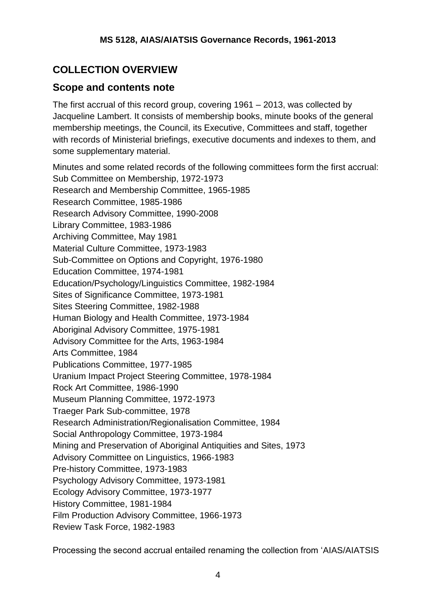# <span id="page-3-0"></span>**COLLECTION OVERVIEW**

### **Scope and contents note**

The first accrual of this record group, covering 1961 – 2013, was collected by Jacqueline Lambert. It consists of membership books, minute books of the general membership meetings, the Council, its Executive, Committees and staff, together with records of Ministerial briefings, executive documents and indexes to them, and some supplementary material.

Minutes and some related records of the following committees form the first accrual: Sub Committee on Membership, 1972-1973 Research and Membership Committee, 1965-1985 Research Committee, 1985-1986 Research Advisory Committee, 1990-2008 Library Committee, 1983-1986 Archiving Committee, May 1981 Material Culture Committee, 1973-1983 Sub-Committee on Options and Copyright, 1976-1980 Education Committee, 1974-1981 Education/Psychology/Linguistics Committee, 1982-1984 Sites of Significance Committee, 1973-1981 Sites Steering Committee, 1982-1988 Human Biology and Health Committee, 1973-1984 Aboriginal Advisory Committee, 1975-1981 Advisory Committee for the Arts, 1963-1984 Arts Committee, 1984 Publications Committee, 1977-1985 Uranium Impact Project Steering Committee, 1978-1984 Rock Art Committee, 1986-1990 Museum Planning Committee, 1972-1973 Traeger Park Sub-committee, 1978 Research Administration/Regionalisation Committee, 1984 Social Anthropology Committee, 1973-1984 Mining and Preservation of Aboriginal Antiquities and Sites, 1973 Advisory Committee on Linguistics, 1966-1983 Pre-history Committee, 1973-1983 Psychology Advisory Committee, 1973-1981 Ecology Advisory Committee, 1973-1977 History Committee, 1981-1984 Film Production Advisory Committee, 1966-1973 Review Task Force, 1982-1983

Processing the second accrual entailed renaming the collection from 'AIAS/AIATSIS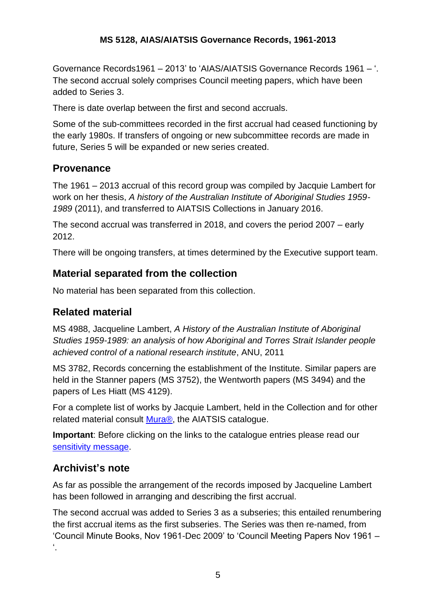Governance Records1961 – 2013' to 'AIAS/AIATSIS Governance Records 1961 – '. The second accrual solely comprises Council meeting papers, which have been added to Series 3.

There is date overlap between the first and second accruals.

Some of the sub-committees recorded in the first accrual had ceased functioning by the early 1980s. If transfers of ongoing or new subcommittee records are made in future, Series 5 will be expanded or new series created.

## **Provenance**

The 1961 – 2013 accrual of this record group was compiled by Jacquie Lambert for work on her thesis, *A history of the Australian Institute of Aboriginal Studies 1959- 1989* (2011), and transferred to AIATSIS Collections in January 2016.

The second accrual was transferred in 2018, and covers the period 2007 – early 2012.

There will be ongoing transfers, at times determined by the Executive support team.

## **Material separated from the collection**

No material has been separated from this collection.

## **Related material**

MS 4988, Jacqueline Lambert, *A History of the Australian Institute of Aboriginal Studies 1959-1989: an analysis of how Aboriginal and Torres Strait Islander people achieved control of a national research institute*, ANU, 2011

[MS 3782,](http://catalogue.aiatsis.gov.au/client/en_AU/internal/search/detailnonmodal.detail.mainpanel.fielddisplay.newsearch?qu=MS+3782) Records concerning the establishment of the Institute. Similar papers are held in the Stanner papers (MS 3752), the Wentworth papers (MS 3494) and the papers of Les Hiatt (MS 4129).

For a complete list of works by Jacquie Lambert, held in the Collection and for other related material consult **Mura®**, the AIATSIS catalogue.

**Important:** Before clicking on the links to the catalogue entries please read our [sensitivity message.](http://aiatsis.gov.au/collections/muraread.html#_blank)

## **Archivist's note**

As far as possible the arrangement of the records imposed by Jacqueline Lambert has been followed in arranging and describing the first accrual.

The second accrual was added to Series 3 as a subseries; this entailed renumbering the first accrual items as the first subseries. The Series was then re-named, from ['Council Minute Books, Nov 1961-Dec 2009'](#page-8-3) to 'Council Meeting Papers Nov 1961 – '.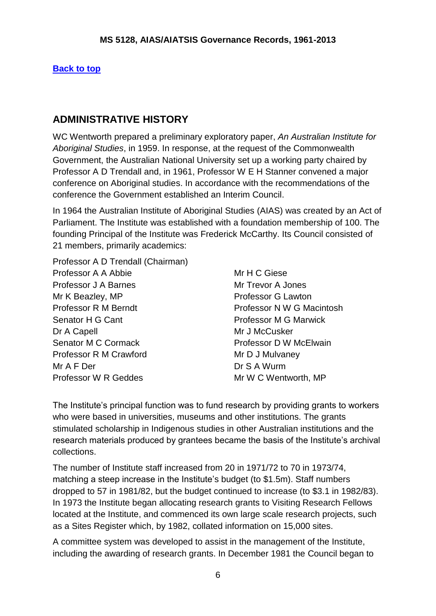#### **[Back to top](#page-0-0)**

## <span id="page-5-0"></span>**ADMINISTRATIVE HISTORY**

WC Wentworth prepared a preliminary exploratory paper, *An Australian Institute for Aboriginal Studies*, in 1959. In response, at the request of the Commonwealth Government, the Australian National University set up a working party chaired by Professor A D Trendall and, in 1961, Professor W E H Stanner convened a major conference on Aboriginal studies. In accordance with the recommendations of the conference the Government established an Interim Council.

In 1964 the Australian Institute of Aboriginal Studies (AIAS) was created by an Act of Parliament. The Institute was established with a foundation membership of 100. The founding Principal of the Institute was Frederick McCarthy. Its Council consisted of 21 members, primarily academics:

- Professor A D Trendall (Chairman)
- Professor A A Abbie Mr H C Giese Professor J A Barnes Mr Trevor A Jones Mr K Beazley, MP **Professor G Lawton** Professor R M Berndt Professor N W G Macintosh Senator H G Cant **Professor M G Marwick** Dr A Capell **Dr A Capell** Mr J McCusker Senator M C Cormack **Professor D W McElwain** Professor R M Crawford Mr D J Mulvaney Mr A F Der Dr S A Wurm Professor W R Geddes Mr W C Wentworth, MP

The Institute's principal function was to fund research by providing grants to workers who were based in universities, museums and other institutions. The grants stimulated scholarship in Indigenous studies in other Australian institutions and the research materials produced by grantees became the basis of the Institute's archival collections.

The number of Institute staff increased from 20 in 1971/72 to 70 in 1973/74, matching a steep increase in the Institute's budget (to \$1.5m). Staff numbers dropped to 57 in 1981/82, but the budget continued to increase (to \$3.1 in 1982/83). In 1973 the Institute began allocating research grants to Visiting Research Fellows located at the Institute, and commenced its own large scale research projects, such as a Sites Register which, by 1982, collated information on 15,000 sites.

A committee system was developed to assist in the management of the Institute, including the awarding of research grants. In December 1981 the Council began to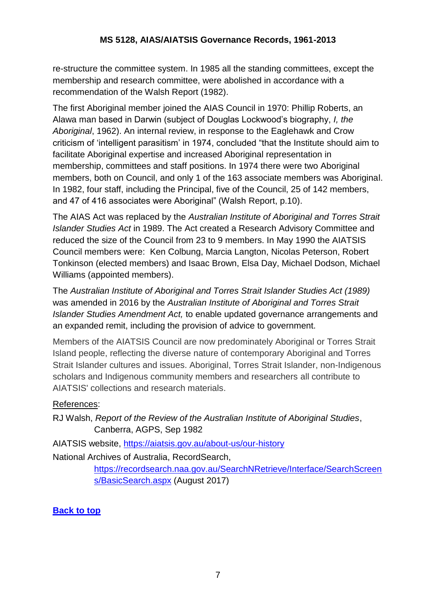re-structure the committee system. In 1985 all the standing committees, except the membership and research committee, were abolished in accordance with a recommendation of the Walsh Report (1982).

The first Aboriginal member joined the AIAS Council in 1970: Phillip Roberts, an Alawa man based in Darwin (subject of Douglas Lockwood's biography, *I, the Aboriginal*, 1962). An internal review, in response to the Eaglehawk and Crow criticism of 'intelligent parasitism' in 1974, concluded "that the Institute should aim to facilitate Aboriginal expertise and increased Aboriginal representation in membership, committees and staff positions. In 1974 there were two Aboriginal members, both on Council, and only 1 of the 163 associate members was Aboriginal. In 1982, four staff, including the Principal, five of the Council, 25 of 142 members, and 47 of 416 associates were Aboriginal" (Walsh Report, p.10).

The AIAS Act was replaced by the *Australian Institute of Aboriginal and Torres Strait Islander Studies Act* in 1989. The Act created a Research Advisory Committee and reduced the size of the Council from 23 to 9 members. In May 1990 the AIATSIS Council members were: Ken Colbung, Marcia Langton, Nicolas Peterson, Robert Tonkinson (elected members) and Isaac Brown, Elsa Day, Michael Dodson, Michael Williams (appointed members).

The *Australian Institute of Aboriginal and Torres Strait Islander Studies Act (1989)*  was amended in 2016 by the *Australian Institute of Aboriginal and Torres Strait Islander Studies Amendment Act,* to enable updated governance arrangements and an expanded remit, including the provision of advice to government.

Members of the AIATSIS Council are now predominately Aboriginal or Torres Strait Island people, reflecting the diverse nature of contemporary Aboriginal and Torres Strait Islander cultures and issues. Aboriginal, Torres Strait Islander, non-Indigenous scholars and Indigenous community members and researchers all contribute to AIATSIS' collections and research materials.

#### References:

RJ Walsh, *Report of the Review of the Australian Institute of Aboriginal Studies*, Canberra, AGPS, Sep 1982

AIATSIS website, <https://aiatsis.gov.au/about-us/our-history>

National Archives of Australia, RecordSearch,

[https://recordsearch.naa.gov.au/SearchNRetrieve/Interface/SearchScreen](https://recordsearch.naa.gov.au/SearchNRetrieve/Interface/SearchScreens/BasicSearch.aspx) [s/BasicSearch.aspx](https://recordsearch.naa.gov.au/SearchNRetrieve/Interface/SearchScreens/BasicSearch.aspx) (August 2017)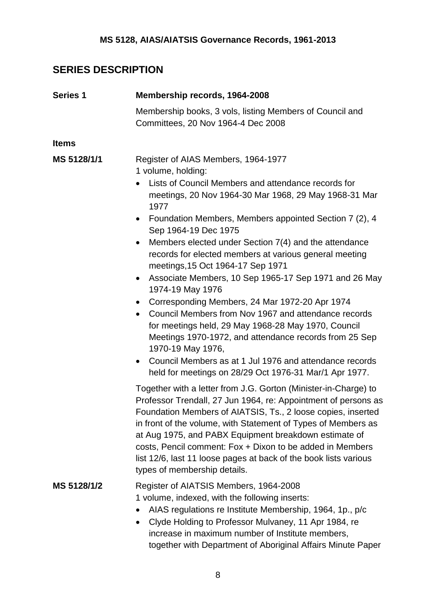## <span id="page-7-0"></span>**SERIES DESCRIPTION**

<span id="page-7-1"></span>

| <b>Series 1</b> | Membership records, 1964-2008                                                                                                                                                                                                                                                                                                                                                                                                                                                                                                                                                                                                                                                                                                                                                                                                                                                                                                                  |
|-----------------|------------------------------------------------------------------------------------------------------------------------------------------------------------------------------------------------------------------------------------------------------------------------------------------------------------------------------------------------------------------------------------------------------------------------------------------------------------------------------------------------------------------------------------------------------------------------------------------------------------------------------------------------------------------------------------------------------------------------------------------------------------------------------------------------------------------------------------------------------------------------------------------------------------------------------------------------|
|                 | Membership books, 3 vols, listing Members of Council and<br>Committees, 20 Nov 1964-4 Dec 2008                                                                                                                                                                                                                                                                                                                                                                                                                                                                                                                                                                                                                                                                                                                                                                                                                                                 |
| <b>Items</b>    |                                                                                                                                                                                                                                                                                                                                                                                                                                                                                                                                                                                                                                                                                                                                                                                                                                                                                                                                                |
| MS 5128/1/1     | Register of AIAS Members, 1964-1977<br>1 volume, holding:<br>Lists of Council Members and attendance records for<br>meetings, 20 Nov 1964-30 Mar 1968, 29 May 1968-31 Mar<br>1977<br>Foundation Members, Members appointed Section 7 (2), 4<br>$\bullet$<br>Sep 1964-19 Dec 1975<br>Members elected under Section 7(4) and the attendance<br>$\bullet$<br>records for elected members at various general meeting<br>meetings, 15 Oct 1964-17 Sep 1971<br>Associate Members, 10 Sep 1965-17 Sep 1971 and 26 May<br>$\bullet$<br>1974-19 May 1976<br>Corresponding Members, 24 Mar 1972-20 Apr 1974<br>$\bullet$<br>Council Members from Nov 1967 and attendance records<br>for meetings held, 29 May 1968-28 May 1970, Council<br>Meetings 1970-1972, and attendance records from 25 Sep<br>1970-19 May 1976,<br>Council Members as at 1 Jul 1976 and attendance records<br>$\bullet$<br>held for meetings on 28/29 Oct 1976-31 Mar/1 Apr 1977. |
| MS 5128/1/2     | Together with a letter from J.G. Gorton (Minister-in-Charge) to<br>Professor Trendall, 27 Jun 1964, re: Appointment of persons as<br>Foundation Members of AIATSIS, Ts., 2 loose copies, inserted<br>in front of the volume, with Statement of Types of Members as<br>at Aug 1975, and PABX Equipment breakdown estimate of<br>costs, Pencil comment: Fox + Dixon to be added in Members<br>list 12/6, last 11 loose pages at back of the book lists various<br>types of membership details.<br>Register of AIATSIS Members, 1964-2008                                                                                                                                                                                                                                                                                                                                                                                                         |
|                 | 1 volume, indexed, with the following inserts:<br>AIAS regulations re Institute Membership, 1964, 1p., p/c<br>Clyde Holding to Professor Mulvaney, 11 Apr 1984, re<br>٠<br>increase in maximum number of Institute members,<br>together with Department of Aboriginal Affairs Minute Paper                                                                                                                                                                                                                                                                                                                                                                                                                                                                                                                                                                                                                                                     |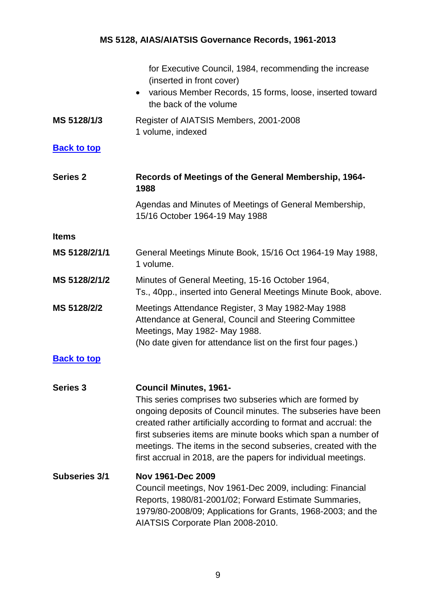<span id="page-8-3"></span><span id="page-8-2"></span><span id="page-8-1"></span><span id="page-8-0"></span>

|                      | for Executive Council, 1984, recommending the increase<br>(inserted in front cover)<br>various Member Records, 15 forms, loose, inserted toward<br>$\bullet$<br>the back of the volume                                                                                                                                                                                                                                           |
|----------------------|----------------------------------------------------------------------------------------------------------------------------------------------------------------------------------------------------------------------------------------------------------------------------------------------------------------------------------------------------------------------------------------------------------------------------------|
| MS 5128/1/3          | Register of AIATSIS Members, 2001-2008<br>1 volume, indexed                                                                                                                                                                                                                                                                                                                                                                      |
| <b>Back to top</b>   |                                                                                                                                                                                                                                                                                                                                                                                                                                  |
| <b>Series 2</b>      | Records of Meetings of the General Membership, 1964-<br>1988                                                                                                                                                                                                                                                                                                                                                                     |
|                      | Agendas and Minutes of Meetings of General Membership,<br>15/16 October 1964-19 May 1988                                                                                                                                                                                                                                                                                                                                         |
| <b>Items</b>         |                                                                                                                                                                                                                                                                                                                                                                                                                                  |
| MS 5128/2/1/1        | General Meetings Minute Book, 15/16 Oct 1964-19 May 1988,<br>1 volume.                                                                                                                                                                                                                                                                                                                                                           |
| MS 5128/2/1/2        | Minutes of General Meeting, 15-16 October 1964,<br>Ts., 40pp., inserted into General Meetings Minute Book, above.                                                                                                                                                                                                                                                                                                                |
| MS 5128/2/2          | Meetings Attendance Register, 3 May 1982-May 1988<br>Attendance at General, Council and Steering Committee<br>Meetings, May 1982- May 1988.<br>(No date given for attendance list on the first four pages.)                                                                                                                                                                                                                      |
| <b>Back to top</b>   |                                                                                                                                                                                                                                                                                                                                                                                                                                  |
| <b>Series 3</b>      | <b>Council Minutes, 1961-</b><br>This series comprises two subseries which are formed by<br>ongoing deposits of Council minutes. The subseries have been<br>created rather artificially according to format and accrual: the<br>first subseries items are minute books which span a number of<br>meetings. The items in the second subseries, created with the<br>first accrual in 2018, are the papers for individual meetings. |
| <b>Subseries 3/1</b> | Nov 1961-Dec 2009<br>Council meetings, Nov 1961-Dec 2009, including: Financial<br>Reports, 1980/81-2001/02; Forward Estimate Summaries,<br>1979/80-2008/09; Applications for Grants, 1968-2003; and the<br>AIATSIS Corporate Plan 2008-2010.                                                                                                                                                                                     |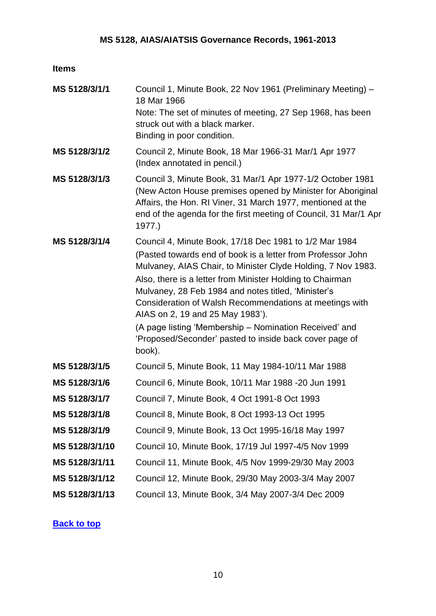#### **Items**

| MS 5128/3/1/1  | Council 1, Minute Book, 22 Nov 1961 (Preliminary Meeting) -<br>18 Mar 1966<br>Note: The set of minutes of meeting, 27 Sep 1968, has been<br>struck out with a black marker.<br>Binding in poor condition.                                                                                                                                                                                                                                                                                                                               |
|----------------|-----------------------------------------------------------------------------------------------------------------------------------------------------------------------------------------------------------------------------------------------------------------------------------------------------------------------------------------------------------------------------------------------------------------------------------------------------------------------------------------------------------------------------------------|
| MS 5128/3/1/2  | Council 2, Minute Book, 18 Mar 1966-31 Mar/1 Apr 1977<br>(Index annotated in pencil.)                                                                                                                                                                                                                                                                                                                                                                                                                                                   |
| MS 5128/3/1/3  | Council 3, Minute Book, 31 Mar/1 Apr 1977-1/2 October 1981<br>(New Acton House premises opened by Minister for Aboriginal<br>Affairs, the Hon. RI Viner, 31 March 1977, mentioned at the<br>end of the agenda for the first meeting of Council, 31 Mar/1 Apr<br>1977.)                                                                                                                                                                                                                                                                  |
| MS 5128/3/1/4  | Council 4, Minute Book, 17/18 Dec 1981 to 1/2 Mar 1984<br>(Pasted towards end of book is a letter from Professor John<br>Mulvaney, AIAS Chair, to Minister Clyde Holding, 7 Nov 1983.<br>Also, there is a letter from Minister Holding to Chairman<br>Mulvaney, 28 Feb 1984 and notes titled, 'Minister's<br>Consideration of Walsh Recommendations at meetings with<br>AIAS on 2, 19 and 25 May 1983').<br>(A page listing 'Membership – Nomination Received' and<br>'Proposed/Seconder' pasted to inside back cover page of<br>book). |
| MS 5128/3/1/5  | Council 5, Minute Book, 11 May 1984-10/11 Mar 1988                                                                                                                                                                                                                                                                                                                                                                                                                                                                                      |
| MS 5128/3/1/6  | Council 6, Minute Book, 10/11 Mar 1988 -20 Jun 1991                                                                                                                                                                                                                                                                                                                                                                                                                                                                                     |
| MS 5128/3/1/7  | Council 7, Minute Book, 4 Oct 1991-8 Oct 1993                                                                                                                                                                                                                                                                                                                                                                                                                                                                                           |
| MS 5128/3/1/8  | Council 8, Minute Book, 8 Oct 1993-13 Oct 1995                                                                                                                                                                                                                                                                                                                                                                                                                                                                                          |
| MS 5128/3/1/9  | Council 9, Minute Book, 13 Oct 1995-16/18 May 1997                                                                                                                                                                                                                                                                                                                                                                                                                                                                                      |
| MS 5128/3/1/10 | Council 10, Minute Book, 17/19 Jul 1997-4/5 Nov 1999                                                                                                                                                                                                                                                                                                                                                                                                                                                                                    |
| MS 5128/3/1/11 | Council 11, Minute Book, 4/5 Nov 1999-29/30 May 2003                                                                                                                                                                                                                                                                                                                                                                                                                                                                                    |
| MS 5128/3/1/12 | Council 12, Minute Book, 29/30 May 2003-3/4 May 2007                                                                                                                                                                                                                                                                                                                                                                                                                                                                                    |
| MS 5128/3/1/13 | Council 13, Minute Book, 3/4 May 2007-3/4 Dec 2009                                                                                                                                                                                                                                                                                                                                                                                                                                                                                      |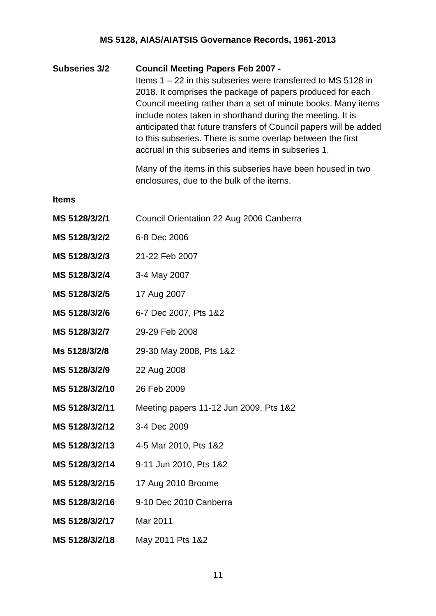<span id="page-10-0"></span>**Subseries 3/2 Council Meeting Papers Feb 2007 -** Items 1 – 22 in this subseries were transferred to MS 5128 in 2018. It comprises the package of papers produced for each Council meeting rather than a set of minute books. Many items include notes taken in shorthand during the meeting. It is anticipated that future transfers of Council papers will be added to this subseries. There is some overlap between the first accrual in this subseries and items in subseries 1.

> Many of the items in this subseries have been housed in two enclosures, due to the bulk of the items.

**Items**

- **MS 5128/3/2/1** Council Orientation 22 Aug 2006 Canberra
- **MS 5128/3/2/2** 6-8 Dec 2006
- **MS 5128/3/2/3** 21-22 Feb 2007
- **MS 5128/3/2/4** 3-4 May 2007
- **MS 5128/3/2/5** 17 Aug 2007
- **MS 5128/3/2/6** 6-7 Dec 2007, Pts 1&2
- **MS 5128/3/2/7** 29-29 Feb 2008
- **Ms 5128/3/2/8** 29-30 May 2008, Pts 1&2
- **MS 5128/3/2/9** 22 Aug 2008
- **MS 5128/3/2/10** 26 Feb 2009
- **MS 5128/3/2/11** Meeting papers 11-12 Jun 2009, Pts 1&2
- **MS 5128/3/2/12** 3-4 Dec 2009
- **MS 5128/3/2/13** 4-5 Mar 2010, Pts 1&2
- **MS 5128/3/2/14** 9-11 Jun 2010, Pts 1&2
- **MS 5128/3/2/15** 17 Aug 2010 Broome
- **MS 5128/3/2/16** 9-10 Dec 2010 Canberra
- **MS 5128/3/2/17** Mar 2011
- **MS 5128/3/2/18** May 2011 Pts 1&2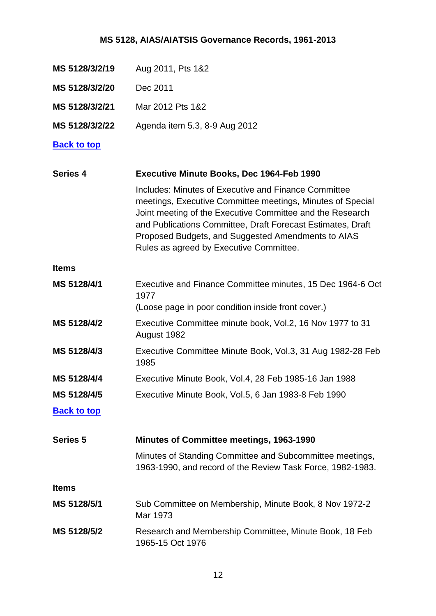- **MS 5128/3/2/19** Aug 2011, Pts 1&2
- **MS 5128/3/2/20** Dec 2011
- **MS 5128/3/2/21** Mar 2012 Pts 1&2
- **MS 5128/3/2/22** Agenda item 5.3, 8-9 Aug 2012

#### **[Back to top](#page-0-0)**

<span id="page-11-0"></span>

| <b>Series 4</b>    | <b>Executive Minute Books, Dec 1964-Feb 1990</b>                                                                                                                                                                                                                                                                                                |
|--------------------|-------------------------------------------------------------------------------------------------------------------------------------------------------------------------------------------------------------------------------------------------------------------------------------------------------------------------------------------------|
|                    | Includes: Minutes of Executive and Finance Committee<br>meetings, Executive Committee meetings, Minutes of Special<br>Joint meeting of the Executive Committee and the Research<br>and Publications Committee, Draft Forecast Estimates, Draft<br>Proposed Budgets, and Suggested Amendments to AIAS<br>Rules as agreed by Executive Committee. |
| <b>Items</b>       |                                                                                                                                                                                                                                                                                                                                                 |
| MS 5128/4/1        | Executive and Finance Committee minutes, 15 Dec 1964-6 Oct<br>1977                                                                                                                                                                                                                                                                              |
|                    | (Loose page in poor condition inside front cover.)                                                                                                                                                                                                                                                                                              |
| MS 5128/4/2        | Executive Committee minute book, Vol.2, 16 Nov 1977 to 31<br>August 1982                                                                                                                                                                                                                                                                        |
| MS 5128/4/3        | Executive Committee Minute Book, Vol.3, 31 Aug 1982-28 Feb<br>1985                                                                                                                                                                                                                                                                              |
| MS 5128/4/4        | Executive Minute Book, Vol.4, 28 Feb 1985-16 Jan 1988                                                                                                                                                                                                                                                                                           |
| MS 5128/4/5        | Executive Minute Book, Vol.5, 6 Jan 1983-8 Feb 1990                                                                                                                                                                                                                                                                                             |
| <b>Back to top</b> |                                                                                                                                                                                                                                                                                                                                                 |
| <b>Series 5</b>    | <b>Minutes of Committee meetings, 1963-1990</b>                                                                                                                                                                                                                                                                                                 |
|                    | Minutes of Standing Committee and Subcommittee meetings,<br>1963-1990, and record of the Review Task Force, 1982-1983.                                                                                                                                                                                                                          |
| <b>Items</b>       |                                                                                                                                                                                                                                                                                                                                                 |
| MS 5128/5/1        | Sub Committee on Membership, Minute Book, 8 Nov 1972-2<br>Mar 1973                                                                                                                                                                                                                                                                              |

<span id="page-11-1"></span>**MS 5128/5/2** Research and Membership Committee, Minute Book, 18 Feb 1965-15 Oct 1976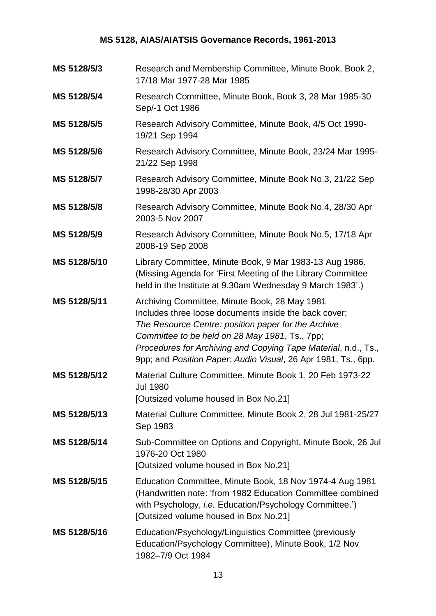| MS 5128/5/3  | Research and Membership Committee, Minute Book, Book 2,<br>17/18 Mar 1977-28 Mar 1985                                                                                                                                                                                                                                                              |
|--------------|----------------------------------------------------------------------------------------------------------------------------------------------------------------------------------------------------------------------------------------------------------------------------------------------------------------------------------------------------|
| MS 5128/5/4  | Research Committee, Minute Book, Book 3, 28 Mar 1985-30<br>Sep/-1 Oct 1986                                                                                                                                                                                                                                                                         |
| MS 5128/5/5  | Research Advisory Committee, Minute Book, 4/5 Oct 1990-<br>19/21 Sep 1994                                                                                                                                                                                                                                                                          |
| MS 5128/5/6  | Research Advisory Committee, Minute Book, 23/24 Mar 1995-<br>21/22 Sep 1998                                                                                                                                                                                                                                                                        |
| MS 5128/5/7  | Research Advisory Committee, Minute Book No.3, 21/22 Sep<br>1998-28/30 Apr 2003                                                                                                                                                                                                                                                                    |
| MS 5128/5/8  | Research Advisory Committee, Minute Book No.4, 28/30 Apr<br>2003-5 Nov 2007                                                                                                                                                                                                                                                                        |
| MS 5128/5/9  | Research Advisory Committee, Minute Book No.5, 17/18 Apr<br>2008-19 Sep 2008                                                                                                                                                                                                                                                                       |
| MS 5128/5/10 | Library Committee, Minute Book, 9 Mar 1983-13 Aug 1986.<br>(Missing Agenda for 'First Meeting of the Library Committee<br>held in the Institute at 9.30am Wednesday 9 March 1983'.)                                                                                                                                                                |
| MS 5128/5/11 | Archiving Committee, Minute Book, 28 May 1981<br>Includes three loose documents inside the back cover:<br>The Resource Centre: position paper for the Archive<br>Committee to be held on 28 May 1981, Ts., 7pp;<br>Procedures for Archiving and Copying Tape Material, n.d., Ts.,<br>9pp; and Position Paper: Audio Visual, 26 Apr 1981, Ts., 6pp. |
| MS 5128/5/12 | Material Culture Committee, Minute Book 1, 20 Feb 1973-22<br><b>Jul 1980</b><br>[Outsized volume housed in Box No.21]                                                                                                                                                                                                                              |
| MS 5128/5/13 | Material Culture Committee, Minute Book 2, 28 Jul 1981-25/27<br>Sep 1983                                                                                                                                                                                                                                                                           |
| MS 5128/5/14 | Sub-Committee on Options and Copyright, Minute Book, 26 Jul<br>1976-20 Oct 1980<br>[Outsized volume housed in Box No.21]                                                                                                                                                                                                                           |
| MS 5128/5/15 | Education Committee, Minute Book, 18 Nov 1974-4 Aug 1981<br>(Handwritten note: 'from 1982 Education Committee combined<br>with Psychology, i.e. Education/Psychology Committee.')<br>[Outsized volume housed in Box No.21]                                                                                                                         |
| MS 5128/5/16 | Education/Psychology/Linguistics Committee (previously<br>Education/Psychology Committee), Minute Book, 1/2 Nov<br>1982-7/9 Oct 1984                                                                                                                                                                                                               |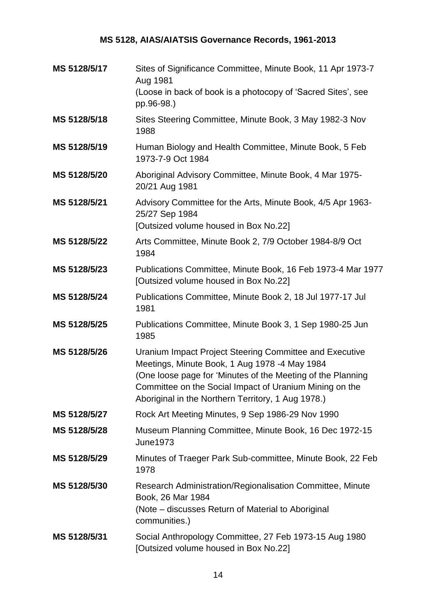| MS 5128/5/17 | Sites of Significance Committee, Minute Book, 11 Apr 1973-7<br>Aug 1981<br>(Loose in back of book is a photocopy of 'Sacred Sites', see<br>pp.96-98.)                                                                                                                                    |
|--------------|------------------------------------------------------------------------------------------------------------------------------------------------------------------------------------------------------------------------------------------------------------------------------------------|
| MS 5128/5/18 | Sites Steering Committee, Minute Book, 3 May 1982-3 Nov<br>1988                                                                                                                                                                                                                          |
| MS 5128/5/19 | Human Biology and Health Committee, Minute Book, 5 Feb<br>1973-7-9 Oct 1984                                                                                                                                                                                                              |
| MS 5128/5/20 | Aboriginal Advisory Committee, Minute Book, 4 Mar 1975-<br>20/21 Aug 1981                                                                                                                                                                                                                |
| MS 5128/5/21 | Advisory Committee for the Arts, Minute Book, 4/5 Apr 1963-<br>25/27 Sep 1984<br>[Outsized volume housed in Box No.22]                                                                                                                                                                   |
| MS 5128/5/22 | Arts Committee, Minute Book 2, 7/9 October 1984-8/9 Oct<br>1984                                                                                                                                                                                                                          |
| MS 5128/5/23 | Publications Committee, Minute Book, 16 Feb 1973-4 Mar 1977<br>[Outsized volume housed in Box No.22]                                                                                                                                                                                     |
| MS 5128/5/24 | Publications Committee, Minute Book 2, 18 Jul 1977-17 Jul<br>1981                                                                                                                                                                                                                        |
| MS 5128/5/25 | Publications Committee, Minute Book 3, 1 Sep 1980-25 Jun<br>1985                                                                                                                                                                                                                         |
| MS 5128/5/26 | Uranium Impact Project Steering Committee and Executive<br>Meetings, Minute Book, 1 Aug 1978 -4 May 1984<br>(One loose page for 'Minutes of the Meeting of the Planning<br>Committee on the Social Impact of Uranium Mining on the<br>Aboriginal in the Northern Territory, 1 Aug 1978.) |
| MS 5128/5/27 | Rock Art Meeting Minutes, 9 Sep 1986-29 Nov 1990                                                                                                                                                                                                                                         |
| MS 5128/5/28 | Museum Planning Committee, Minute Book, 16 Dec 1972-15<br><b>June1973</b>                                                                                                                                                                                                                |
| MS 5128/5/29 | Minutes of Traeger Park Sub-committee, Minute Book, 22 Feb<br>1978                                                                                                                                                                                                                       |
| MS 5128/5/30 | Research Administration/Regionalisation Committee, Minute<br>Book, 26 Mar 1984<br>(Note – discusses Return of Material to Aboriginal<br>communities.)                                                                                                                                    |
| MS 5128/5/31 | Social Anthropology Committee, 27 Feb 1973-15 Aug 1980<br>[Outsized volume housed in Box No.22]                                                                                                                                                                                          |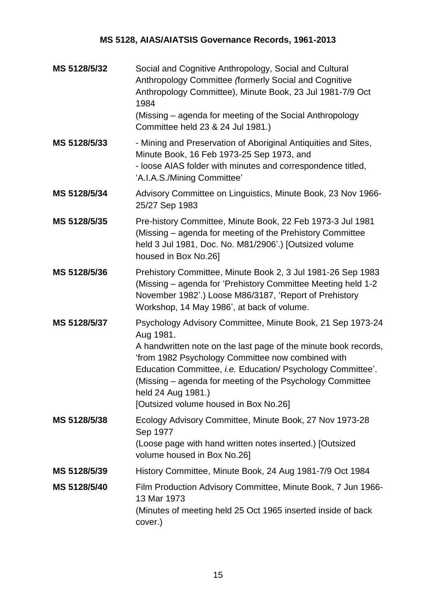| MS 5128/5/32 | Social and Cognitive Anthropology, Social and Cultural<br>Anthropology Committee (formerly Social and Cognitive<br>Anthropology Committee), Minute Book, 23 Jul 1981-7/9 Oct<br>1984<br>(Missing - agenda for meeting of the Social Anthropology<br>Committee held 23 & 24 Jul 1981.)                                                                                                      |
|--------------|--------------------------------------------------------------------------------------------------------------------------------------------------------------------------------------------------------------------------------------------------------------------------------------------------------------------------------------------------------------------------------------------|
| MS 5128/5/33 | - Mining and Preservation of Aboriginal Antiquities and Sites,<br>Minute Book, 16 Feb 1973-25 Sep 1973, and<br>- loose AIAS folder with minutes and correspondence titled,<br>'A.I.A.S./Mining Committee'                                                                                                                                                                                  |
| MS 5128/5/34 | Advisory Committee on Linguistics, Minute Book, 23 Nov 1966-<br>25/27 Sep 1983                                                                                                                                                                                                                                                                                                             |
| MS 5128/5/35 | Pre-history Committee, Minute Book, 22 Feb 1973-3 Jul 1981<br>(Missing – agenda for meeting of the Prehistory Committee<br>held 3 Jul 1981, Doc. No. M81/2906'.) [Outsized volume<br>housed in Box No.26]                                                                                                                                                                                  |
| MS 5128/5/36 | Prehistory Committee, Minute Book 2, 3 Jul 1981-26 Sep 1983<br>(Missing – agenda for 'Prehistory Committee Meeting held 1-2<br>November 1982'.) Loose M86/3187, 'Report of Prehistory<br>Workshop, 14 May 1986', at back of volume.                                                                                                                                                        |
| MS 5128/5/37 | Psychology Advisory Committee, Minute Book, 21 Sep 1973-24<br>Aug 1981.<br>A handwritten note on the last page of the minute book records,<br>'from 1982 Psychology Committee now combined with<br>Education Committee, i.e. Education/ Psychology Committee'.<br>(Missing – agenda for meeting of the Psychology Committee<br>held 24 Aug 1981.)<br>[Outsized volume housed in Box No.26] |
| MS 5128/5/38 | Ecology Advisory Committee, Minute Book, 27 Nov 1973-28<br>Sep 1977<br>(Loose page with hand written notes inserted.) [Outsized<br>volume housed in Box No.26]                                                                                                                                                                                                                             |
| MS 5128/5/39 | History Committee, Minute Book, 24 Aug 1981-7/9 Oct 1984                                                                                                                                                                                                                                                                                                                                   |
| MS 5128/5/40 | Film Production Advisory Committee, Minute Book, 7 Jun 1966-<br>13 Mar 1973<br>(Minutes of meeting held 25 Oct 1965 inserted inside of back<br>cover.)                                                                                                                                                                                                                                     |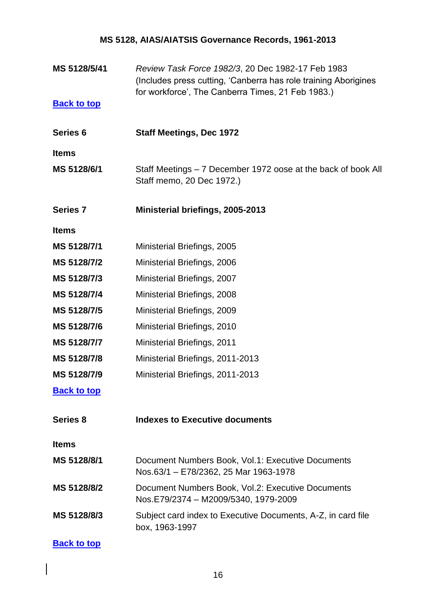**MS 5128/5/41** *Review Task Force 1982/3*, 20 Dec 1982-17 Feb 1983 (Includes press cutting, 'Canberra has role training Aborigines for workforce', The Canberra Times, 21 Feb 1983.)

#### **[Back to top](#page-0-0)**

<span id="page-15-0"></span>**Series 6 Staff Meetings, Dec 1972**

**Items**

- **MS 5128/6/1** Staff Meetings 7 December 1972 oose at the back of book All Staff memo, 20 Dec 1972.)
- <span id="page-15-1"></span>**Series 7 Ministerial briefings, 2005-2013**

**Items**

- **MS 5128/7/1** Ministerial Briefings, 2005
- **MS 5128/7/2** Ministerial Briefings, 2006
- **MS 5128/7/3** Ministerial Briefings, 2007
- **MS 5128/7/4** Ministerial Briefings, 2008
- **MS 5128/7/5** Ministerial Briefings, 2009
- **MS 5128/7/6** Ministerial Briefings, 2010
- **MS 5128/7/7** Ministerial Briefings, 2011
- **MS 5128/7/8** Ministerial Briefings, 2011-2013
- **MS 5128/7/9** Ministerial Briefings, 2011-2013

**[Back to top](#page-0-0)**

<span id="page-15-2"></span>**Series 8 Indexes to Executive documents**

**Items**

| MS 5128/8/1 | Document Numbers Book, Vol.1: Executive Documents<br>Nos.63/1 - E78/2362, 25 Mar 1963-1978 |
|-------------|--------------------------------------------------------------------------------------------|
| MS 5128/8/2 | Document Numbers Book, Vol.2: Executive Documents<br>Nos.E79/2374 - M2009/5340, 1979-2009  |
| MS 5128/8/3 | Subject card index to Executive Documents, A-Z, in card file<br>box, 1963-1997             |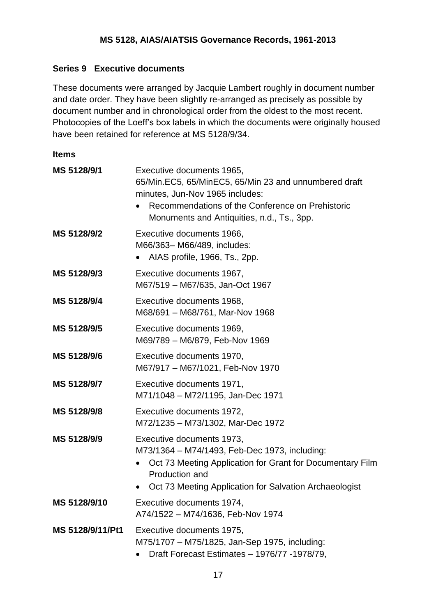#### **Series 9 Executive documents**

These documents were arranged by Jacquie Lambert roughly in document number and date order. They have been slightly re-arranged as precisely as possible by document number and in chronological order from the oldest to the most recent. Photocopies of the Loeff's box labels in which the documents were originally housed have been retained for reference at MS 5128/9/34.

| MS 5128/9/1      | Executive documents 1965,<br>65/Min.EC5, 65/MinEC5, 65/Min 23 and unnumbered draft<br>minutes, Jun-Nov 1965 includes:<br>Recommendations of the Conference on Prehistoric<br>Monuments and Antiquities, n.d., Ts., 3pp.  |
|------------------|--------------------------------------------------------------------------------------------------------------------------------------------------------------------------------------------------------------------------|
| MS 5128/9/2      | Executive documents 1966,<br>M66/363-M66/489, includes:<br>AIAS profile, 1966, Ts., 2pp.                                                                                                                                 |
| MS 5128/9/3      | Executive documents 1967,<br>M67/519 - M67/635, Jan-Oct 1967                                                                                                                                                             |
| MS 5128/9/4      | Executive documents 1968,<br>M68/691 - M68/761, Mar-Nov 1968                                                                                                                                                             |
| MS 5128/9/5      | Executive documents 1969,<br>M69/789 - M6/879, Feb-Nov 1969                                                                                                                                                              |
| MS 5128/9/6      | Executive documents 1970,<br>M67/917 - M67/1021, Feb-Nov 1970                                                                                                                                                            |
| MS 5128/9/7      | Executive documents 1971,<br>M71/1048 - M72/1195, Jan-Dec 1971                                                                                                                                                           |
| MS 5128/9/8      | Executive documents 1972,<br>M72/1235 - M73/1302, Mar-Dec 1972                                                                                                                                                           |
| MS 5128/9/9      | Executive documents 1973,<br>M73/1364 - M74/1493, Feb-Dec 1973, including:<br>Oct 73 Meeting Application for Grant for Documentary Film<br>٠<br>Production and<br>Oct 73 Meeting Application for Salvation Archaeologist |
| MS 5128/9/10     | Executive documents 1974,<br>A74/1522 - M74/1636, Feb-Nov 1974                                                                                                                                                           |
| MS 5128/9/11/Pt1 | Executive documents 1975,<br>M75/1707 - M75/1825, Jan-Sep 1975, including:<br>Draft Forecast Estimates - 1976/77 - 1978/79,                                                                                              |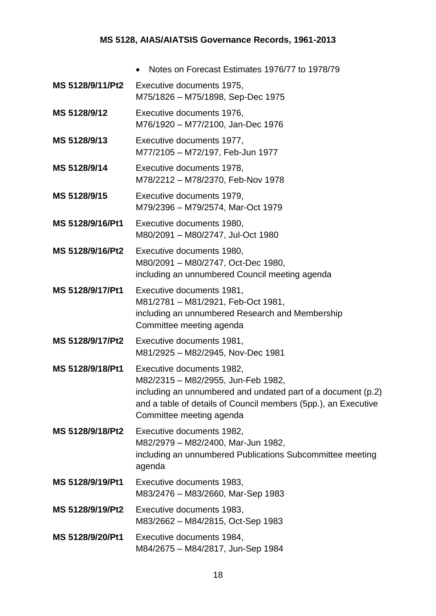|                  | Notes on Forecast Estimates 1976/77 to 1978/79                                                                                                                                                                                |
|------------------|-------------------------------------------------------------------------------------------------------------------------------------------------------------------------------------------------------------------------------|
| MS 5128/9/11/Pt2 | Executive documents 1975,<br>M75/1826 - M75/1898, Sep-Dec 1975                                                                                                                                                                |
| MS 5128/9/12     | Executive documents 1976,<br>M76/1920 - M77/2100, Jan-Dec 1976                                                                                                                                                                |
| MS 5128/9/13     | Executive documents 1977,<br>M77/2105 - M72/197, Feb-Jun 1977                                                                                                                                                                 |
| MS 5128/9/14     | Executive documents 1978,<br>M78/2212 - M78/2370, Feb-Nov 1978                                                                                                                                                                |
| MS 5128/9/15     | Executive documents 1979,<br>M79/2396 - M79/2574, Mar-Oct 1979                                                                                                                                                                |
| MS 5128/9/16/Pt1 | Executive documents 1980,<br>M80/2091 - M80/2747, Jul-Oct 1980                                                                                                                                                                |
| MS 5128/9/16/Pt2 | Executive documents 1980,<br>M80/2091 - M80/2747, Oct-Dec 1980,<br>including an unnumbered Council meeting agenda                                                                                                             |
| MS 5128/9/17/Pt1 | Executive documents 1981,<br>M81/2781 - M81/2921, Feb-Oct 1981,<br>including an unnumbered Research and Membership<br>Committee meeting agenda                                                                                |
| MS 5128/9/17/Pt2 | Executive documents 1981,<br>M81/2925 - M82/2945, Nov-Dec 1981                                                                                                                                                                |
| MS 5128/9/18/Pt1 | Executive documents 1982,<br>M82/2315 - M82/2955, Jun-Feb 1982,<br>including an unnumbered and undated part of a document (p.2)<br>and a table of details of Council members (5pp.), an Executive<br>Committee meeting agenda |
| MS 5128/9/18/Pt2 | Executive documents 1982,<br>M82/2979 - M82/2400, Mar-Jun 1982,<br>including an unnumbered Publications Subcommittee meeting<br>agenda                                                                                        |
| MS 5128/9/19/Pt1 | Executive documents 1983,<br>M83/2476 - M83/2660, Mar-Sep 1983                                                                                                                                                                |
| MS 5128/9/19/Pt2 | Executive documents 1983,<br>M83/2662 - M84/2815, Oct-Sep 1983                                                                                                                                                                |
| MS 5128/9/20/Pt1 | Executive documents 1984,<br>M84/2675 - M84/2817, Jun-Sep 1984                                                                                                                                                                |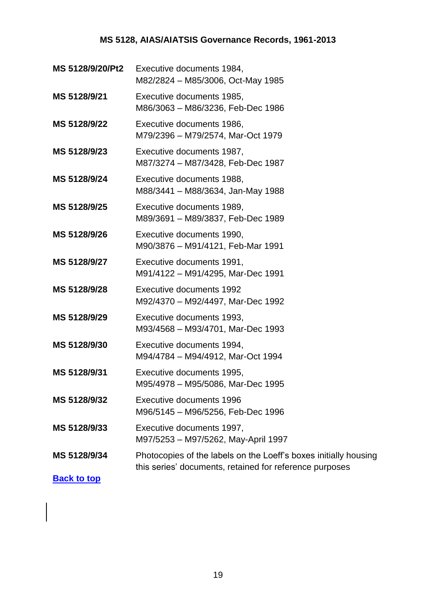| MS 5128/9/20/Pt2   | Executive documents 1984,<br>M82/2824 - M85/3006, Oct-May 1985                                                              |
|--------------------|-----------------------------------------------------------------------------------------------------------------------------|
| MS 5128/9/21       | Executive documents 1985,<br>M86/3063 - M86/3236, Feb-Dec 1986                                                              |
| MS 5128/9/22       | Executive documents 1986,<br>M79/2396 - M79/2574, Mar-Oct 1979                                                              |
| MS 5128/9/23       | Executive documents 1987,<br>M87/3274 - M87/3428, Feb-Dec 1987                                                              |
| MS 5128/9/24       | Executive documents 1988,<br>M88/3441 - M88/3634, Jan-May 1988                                                              |
| MS 5128/9/25       | Executive documents 1989,<br>M89/3691 - M89/3837, Feb-Dec 1989                                                              |
| MS 5128/9/26       | Executive documents 1990,<br>M90/3876 - M91/4121, Feb-Mar 1991                                                              |
| MS 5128/9/27       | Executive documents 1991,<br>M91/4122 - M91/4295, Mar-Dec 1991                                                              |
| MS 5128/9/28       | Executive documents 1992<br>M92/4370 - M92/4497, Mar-Dec 1992                                                               |
| MS 5128/9/29       | Executive documents 1993,<br>M93/4568 - M93/4701, Mar-Dec 1993                                                              |
| MS 5128/9/30       | Executive documents 1994,<br>M94/4784 - M94/4912, Mar-Oct 1994                                                              |
| MS 5128/9/31       | Executive documents 1995,<br>M95/4978 - M95/5086, Mar-Dec 1995                                                              |
| MS 5128/9/32       | Executive documents 1996<br>M96/5145 - M96/5256, Feb-Dec 1996                                                               |
| MS 5128/9/33       | Executive documents 1997,<br>M97/5253 - M97/5262, May-April 1997                                                            |
| MS 5128/9/34       | Photocopies of the labels on the Loeff's boxes initially housing<br>this series' documents, retained for reference purposes |
| <b>Back to top</b> |                                                                                                                             |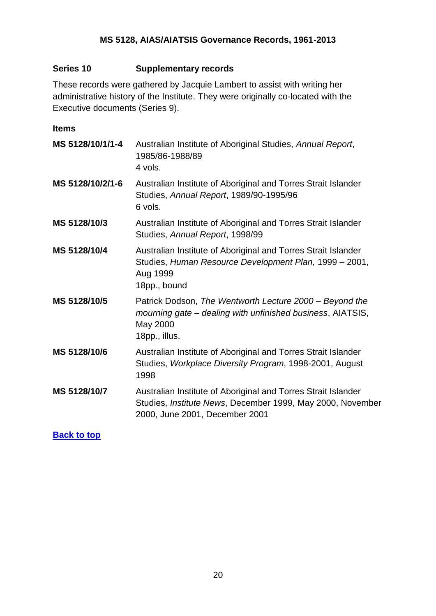#### <span id="page-19-0"></span>**Series 10 Supplementary records**

These records were gathered by Jacquie Lambert to assist with writing her administrative history of the Institute. They were originally co-located with the Executive documents (Series 9).

#### **Items**

| MS 5128/10/1/1-4 | Australian Institute of Aboriginal Studies, Annual Report,<br>1985/86-1988/89<br>4 vols.                                                                      |
|------------------|---------------------------------------------------------------------------------------------------------------------------------------------------------------|
| MS 5128/10/2/1-6 | Australian Institute of Aboriginal and Torres Strait Islander<br>Studies, Annual Report, 1989/90-1995/96<br>6 vols.                                           |
| MS 5128/10/3     | Australian Institute of Aboriginal and Torres Strait Islander<br>Studies, Annual Report, 1998/99                                                              |
| MS 5128/10/4     | Australian Institute of Aboriginal and Torres Strait Islander<br>Studies, Human Resource Development Plan, 1999 - 2001,<br>Aug 1999<br>18pp., bound           |
| MS 5128/10/5     | Patrick Dodson, The Wentworth Lecture 2000 – Beyond the<br>mourning gate – dealing with unfinished business, AIATSIS,<br>May 2000<br>18pp., illus.            |
| MS 5128/10/6     | Australian Institute of Aboriginal and Torres Strait Islander<br>Studies, Workplace Diversity Program, 1998-2001, August<br>1998                              |
| MS 5128/10/7     | Australian Institute of Aboriginal and Torres Strait Islander<br>Studies, Institute News, December 1999, May 2000, November<br>2000, June 2001, December 2001 |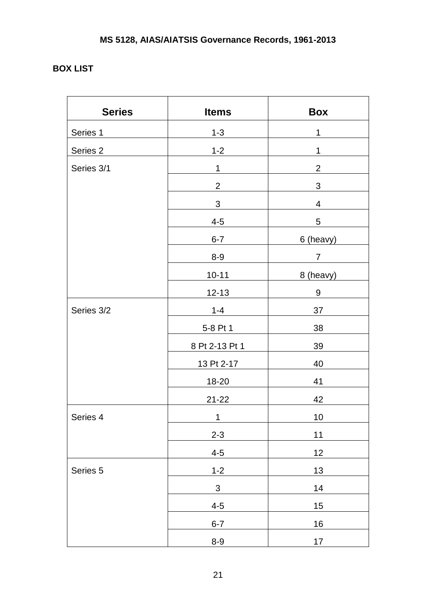## <span id="page-20-0"></span>**BOX LIST**

| <b>Series</b> | <b>Items</b>   | <b>Box</b>       |
|---------------|----------------|------------------|
| Series 1      | $1 - 3$        | $\mathbf 1$      |
| Series 2      | $1 - 2$        | 1                |
| Series 3/1    | $\mathbf{1}$   | $\overline{2}$   |
|               | $\overline{2}$ | $\sqrt{3}$       |
|               | $\mathfrak{S}$ | 4                |
|               | $4 - 5$        | 5                |
|               | $6 - 7$        | 6 (heavy)        |
|               | $8-9$          | $\overline{7}$   |
|               | $10 - 11$      | 8 (heavy)        |
|               | $12 - 13$      | $\boldsymbol{9}$ |
| Series 3/2    | $1 - 4$        | 37               |
|               | 5-8 Pt 1       | 38               |
|               | 8 Pt 2-13 Pt 1 | 39               |
|               | 13 Pt 2-17     | 40               |
|               | 18-20          | 41               |
|               | $21 - 22$      | 42               |
| Series 4      | 1              | 10               |
|               | $2 - 3$        | 11               |
|               | $4 - 5$        | 12               |
| Series 5      | $1 - 2$        | 13               |
|               | $\mathfrak{S}$ | 14               |
|               | $4 - 5$        | 15               |
|               | $6 - 7$        | 16               |
|               | $8-9$          | 17               |